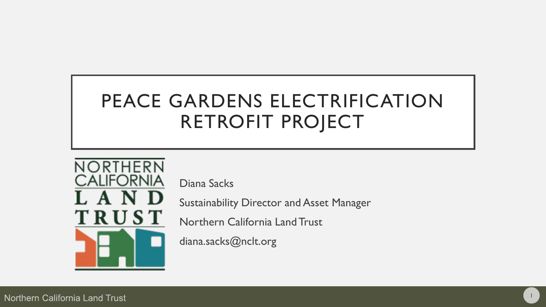# PEACE GARDENS ELECTRIFICATION RETROFIT PROJECT



Diana Sacks

Sustainability Director and Asset Manager

1

Northern California Land Trust

diana.sacks@nclt.org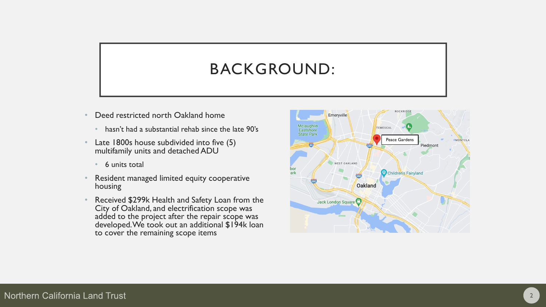### BACKGROUND:

- Deed restricted north Oakland home
	- hasn't had a substantial rehab since the late 90's
- Late 1800s house subdivided into five (5) multifamily units and detached ADU
	- 6 units total
- Resident managed limited equity cooperative housing
- Received \$299k Health and Safety Loan from the City of Oakland, and electrification scope was added to the project after the repair scope was developed. We took out an additional \$194k loan to cover the remaining scope items

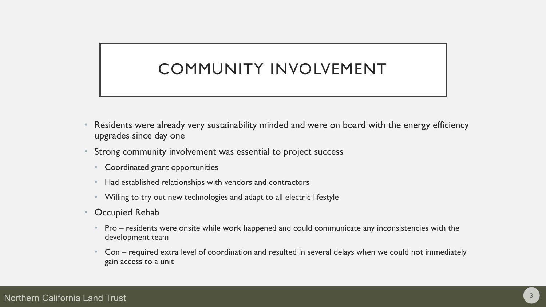# COMMUNITY INVOLVEMENT

- Residents were already very sustainability minded and were on board with the energy efficiency upgrades since day one
- Strong community involvement was essential to project success
	- Coordinated grant opportunities
	- Had established relationships with vendors and contractors
	- Willing to try out new technologies and adapt to all electric lifestyle
- Occupied Rehab
	- Pro residents were onsite while work happened and could communicate any inconsistencies with the development team
	- Con required extra level of coordination and resulted in several delays when we could not immediately gain access to a unit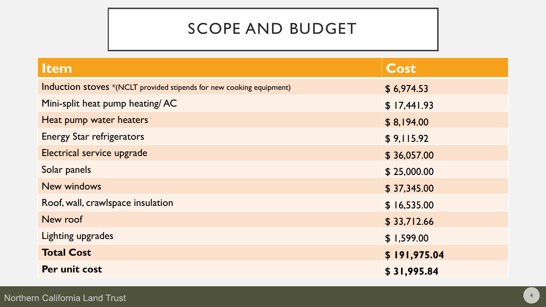### SCOPE AND BUDGET

| <b>Item</b>                                                          | Cost         |
|----------------------------------------------------------------------|--------------|
| Induction stoves *(NCLT provided stipends for new cooking equipment) | \$6,974.53   |
| Mini-split heat pump heating/AC                                      | \$17,441.93  |
| Heat pump water heaters                                              | \$8,194.00   |
| <b>Energy Star refrigerators</b>                                     | \$9,115.92   |
| Electrical service upgrade                                           | \$36,057.00  |
| Solar panels                                                         | \$25,000.00  |
| <b>New windows</b>                                                   | \$37,345.00  |
| Roof, wall, crawlspace insulation                                    | \$16,535.00  |
| New roof                                                             | \$33,712.66  |
| Lighting upgrades                                                    | \$1,599.00   |
| <b>Total Cost</b>                                                    | \$191,975.04 |
| Per unit cost                                                        | \$31,995.84  |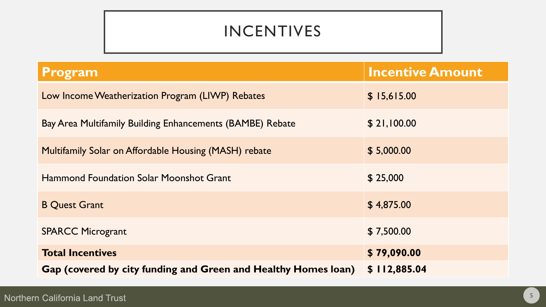# INCENTIVES

| Program                                                        | <b>Incentive Amount</b> |
|----------------------------------------------------------------|-------------------------|
| Low Income Weatherization Program (LIWP) Rebates               | \$15,615.00             |
| Bay Area Multifamily Building Enhancements (BAMBE) Rebate      | \$21,100.00             |
| Multifamily Solar on Affordable Housing (MASH) rebate          | \$5,000.00              |
| <b>Hammond Foundation Solar Moonshot Grant</b>                 | \$25,000                |
| <b>B Quest Grant</b>                                           | \$4,875.00              |
| <b>SPARCC Microgrant</b>                                       | \$7,500.00              |
| <b>Total Incentives</b>                                        | \$79,090.00             |
| Gap (covered by city funding and Green and Healthy Homes Ioan) | \$112,885.04            |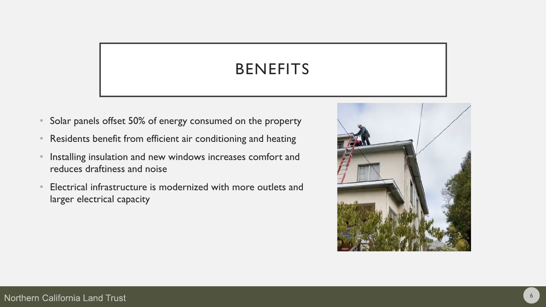# BENEFITS

- Solar panels offset 50% of energy consumed on the property
- Residents benefit from efficient air conditioning and heating
- Installing insulation and new windows increases comfort and reduces draftiness and noise
- Electrical infrastructure is modernized with more outlets and larger electrical capacity

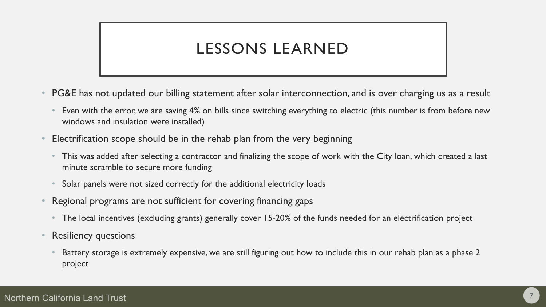# LESSONS LEARNED

- PG&E has not updated our billing statement after solar interconnection, and is over charging us as a result
	- Even with the error, we are saving 4% on bills since switching everything to electric (this number is from before new windows and insulation were installed)
- Electrification scope should be in the rehab plan from the very beginning
	- This was added after selecting a contractor and finalizing the scope of work with the City loan, which created a last minute scramble to secure more funding
	- Solar panels were not sized correctly for the additional electricity loads
- Regional programs are not sufficient for covering financing gaps
	- The local incentives (excluding grants) generally cover 15-20% of the funds needed for an electrification project
- **Resiliency questions** 
	- Battery storage is extremely expensive, we are still figuring out how to include this in our rehab plan as a phase 2 project